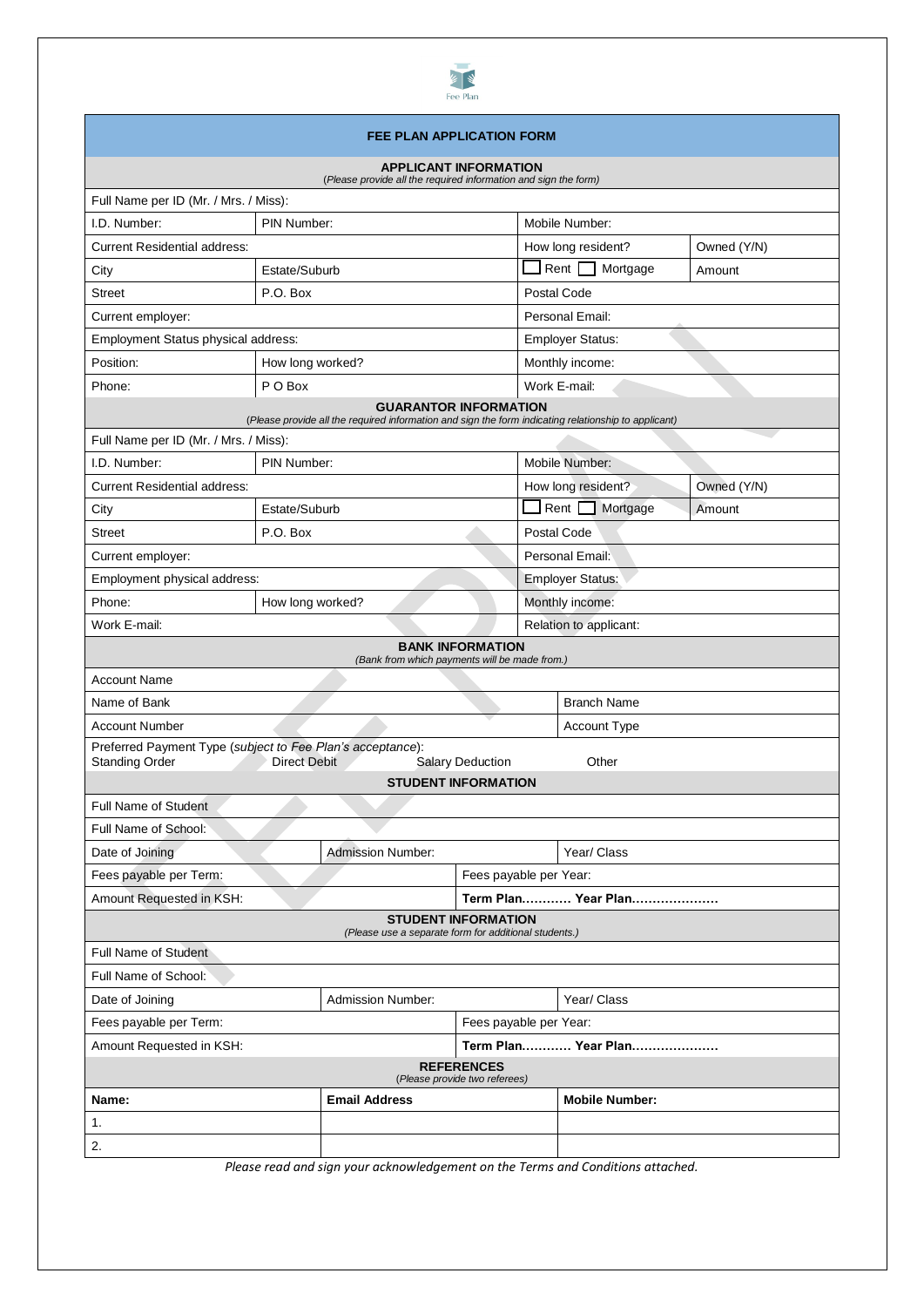

# **FEE PLAN APPLICATION FORM**

| <b>APPLICANT INFORMATION</b><br>(Please provide all the required information and sign the form)                                                |                          |                     |                            |                         |             |  |  |
|------------------------------------------------------------------------------------------------------------------------------------------------|--------------------------|---------------------|----------------------------|-------------------------|-------------|--|--|
| Full Name per ID (Mr. / Mrs. / Miss):                                                                                                          |                          |                     |                            |                         |             |  |  |
| PIN Number:<br>I.D. Number:                                                                                                                    |                          |                     |                            | Mobile Number:          |             |  |  |
| <b>Current Residential address:</b>                                                                                                            |                          |                     | How long resident?         | Owned (Y/N)             |             |  |  |
| City                                                                                                                                           | Estate/Suburb            |                     |                            | Rent<br>Mortgage        | Amount      |  |  |
| <b>Street</b>                                                                                                                                  | P.O. Box                 |                     |                            | Postal Code             |             |  |  |
| Current employer:                                                                                                                              |                          |                     |                            | Personal Email:         |             |  |  |
| Employment Status physical address:                                                                                                            |                          |                     |                            | <b>Employer Status:</b> |             |  |  |
| Position:                                                                                                                                      | How long worked?         |                     |                            | Monthly income:         |             |  |  |
| Phone:                                                                                                                                         | P O Box                  |                     |                            | Work E-mail:            |             |  |  |
| <b>GUARANTOR INFORMATION</b><br>(Please provide all the required information and sign the form indicating relationship to applicant)           |                          |                     |                            |                         |             |  |  |
| Full Name per ID (Mr. / Mrs. / Miss):                                                                                                          |                          |                     |                            |                         |             |  |  |
| I.D. Number:                                                                                                                                   | PIN Number:              |                     |                            | Mobile Number:          |             |  |  |
| <b>Current Residential address:</b>                                                                                                            |                          |                     |                            | How long resident?      | Owned (Y/N) |  |  |
| City                                                                                                                                           | Estate/Suburb            |                     |                            | Rent $\Box$<br>Mortgage | Amount      |  |  |
| <b>Street</b>                                                                                                                                  | P.O. Box                 |                     |                            | Postal Code             |             |  |  |
| Current employer:                                                                                                                              |                          |                     |                            | Personal Email:         |             |  |  |
| Employment physical address:                                                                                                                   |                          |                     |                            | <b>Employer Status:</b> |             |  |  |
| Phone:<br>How long worked?                                                                                                                     |                          |                     |                            | Monthly income:         |             |  |  |
| Work E-mail:                                                                                                                                   |                          |                     |                            | Relation to applicant:  |             |  |  |
| <b>BANK INFORMATION</b><br>(Bank from which payments will be made from.)                                                                       |                          |                     |                            |                         |             |  |  |
| <b>Account Name</b>                                                                                                                            |                          |                     |                            |                         |             |  |  |
| Name of Bank                                                                                                                                   |                          |                     |                            | <b>Branch Name</b>      |             |  |  |
| <b>Account Number</b>                                                                                                                          |                          |                     |                            | <b>Account Type</b>     |             |  |  |
| Preferred Payment Type (subject to Fee Plan's acceptance):<br><b>Standing Order</b><br><b>Direct Debit</b><br>Other<br><b>Salary Deduction</b> |                          |                     |                            |                         |             |  |  |
|                                                                                                                                                |                          |                     | <b>STUDENT INFORMATION</b> |                         |             |  |  |
| <b>Full Name of Student</b>                                                                                                                    |                          |                     |                            |                         |             |  |  |
| Full Name of School:                                                                                                                           |                          |                     |                            |                         |             |  |  |
| Date of Joining                                                                                                                                | <b>Admission Number:</b> |                     |                            | Year/ Class             |             |  |  |
| Fees payable per Term:                                                                                                                         |                          |                     | Fees payable per Year:     |                         |             |  |  |
| Amount Requested in KSH:                                                                                                                       |                          | Term Plan Year Plan |                            |                         |             |  |  |
| <b>STUDENT INFORMATION</b><br>(Please use a separate form for additional students.)                                                            |                          |                     |                            |                         |             |  |  |
| Full Name of Student                                                                                                                           |                          |                     |                            |                         |             |  |  |
| Full Name of School:                                                                                                                           |                          |                     |                            |                         |             |  |  |
| Date of Joining<br><b>Admission Number:</b>                                                                                                    |                          |                     |                            | Year/ Class             |             |  |  |
| Fees payable per Term:                                                                                                                         |                          |                     | Fees payable per Year:     |                         |             |  |  |
| Amount Requested in KSH:                                                                                                                       |                          |                     |                            | Term Plan Year Plan     |             |  |  |
| <b>REFERENCES</b><br>(Please provide two referees)                                                                                             |                          |                     |                            |                         |             |  |  |
| Name:                                                                                                                                          | <b>Email Address</b>     |                     |                            | <b>Mobile Number:</b>   |             |  |  |
| 1.                                                                                                                                             |                          |                     |                            |                         |             |  |  |
| 2.                                                                                                                                             |                          |                     |                            |                         |             |  |  |
|                                                                                                                                                |                          |                     |                            |                         |             |  |  |

*Please read and sign your acknowledgement on the Terms and Conditions attached.*